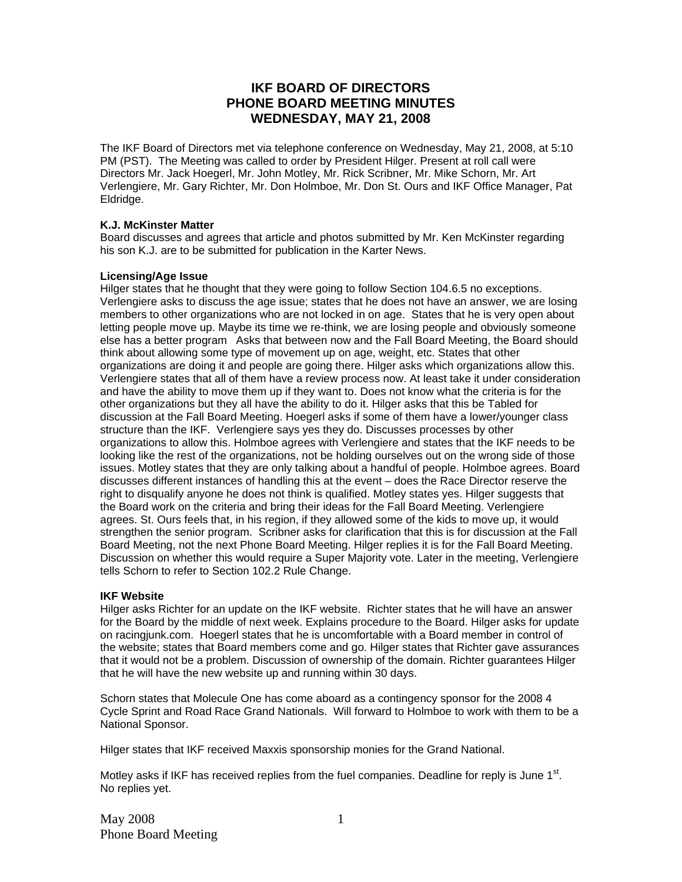# **IKF BOARD OF DIRECTORS PHONE BOARD MEETING MINUTES WEDNESDAY, MAY 21, 2008**

The IKF Board of Directors met via telephone conference on Wednesday, May 21, 2008, at 5:10 PM (PST). The Meeting was called to order by President Hilger. Present at roll call were Directors Mr. Jack Hoegerl, Mr. John Motley, Mr. Rick Scribner, Mr. Mike Schorn, Mr. Art Verlengiere, Mr. Gary Richter, Mr. Don Holmboe, Mr. Don St. Ours and IKF Office Manager, Pat Eldridge.

### **K.J. McKinster Matter**

Board discusses and agrees that article and photos submitted by Mr. Ken McKinster regarding his son K.J. are to be submitted for publication in the Karter News.

### **Licensing/Age Issue**

Hilger states that he thought that they were going to follow Section 104.6.5 no exceptions. Verlengiere asks to discuss the age issue; states that he does not have an answer, we are losing members to other organizations who are not locked in on age. States that he is very open about letting people move up. Maybe its time we re-think, we are losing people and obviously someone else has a better program Asks that between now and the Fall Board Meeting, the Board should think about allowing some type of movement up on age, weight, etc. States that other organizations are doing it and people are going there. Hilger asks which organizations allow this. Verlengiere states that all of them have a review process now. At least take it under consideration and have the ability to move them up if they want to. Does not know what the criteria is for the other organizations but they all have the ability to do it. Hilger asks that this be Tabled for discussion at the Fall Board Meeting. Hoegerl asks if some of them have a lower/younger class structure than the IKF. Verlengiere says yes they do. Discusses processes by other organizations to allow this. Holmboe agrees with Verlengiere and states that the IKF needs to be looking like the rest of the organizations, not be holding ourselves out on the wrong side of those issues. Motley states that they are only talking about a handful of people. Holmboe agrees. Board discusses different instances of handling this at the event – does the Race Director reserve the right to disqualify anyone he does not think is qualified. Motley states yes. Hilger suggests that the Board work on the criteria and bring their ideas for the Fall Board Meeting. Verlengiere agrees. St. Ours feels that, in his region, if they allowed some of the kids to move up, it would strengthen the senior program. Scribner asks for clarification that this is for discussion at the Fall Board Meeting, not the next Phone Board Meeting. Hilger replies it is for the Fall Board Meeting. Discussion on whether this would require a Super Majority vote. Later in the meeting, Verlengiere tells Schorn to refer to Section 102.2 Rule Change.

# **IKF Website**

Hilger asks Richter for an update on the IKF website. Richter states that he will have an answer for the Board by the middle of next week. Explains procedure to the Board. Hilger asks for update on racingjunk.com. Hoegerl states that he is uncomfortable with a Board member in control of the website; states that Board members come and go. Hilger states that Richter gave assurances that it would not be a problem. Discussion of ownership of the domain. Richter guarantees Hilger that he will have the new website up and running within 30 days.

Schorn states that Molecule One has come aboard as a contingency sponsor for the 2008 4 Cycle Sprint and Road Race Grand Nationals. Will forward to Holmboe to work with them to be a National Sponsor.

Hilger states that IKF received Maxxis sponsorship monies for the Grand National.

Motley asks if IKF has received replies from the fuel companies. Deadline for reply is June  $1<sup>st</sup>$ . No replies yet.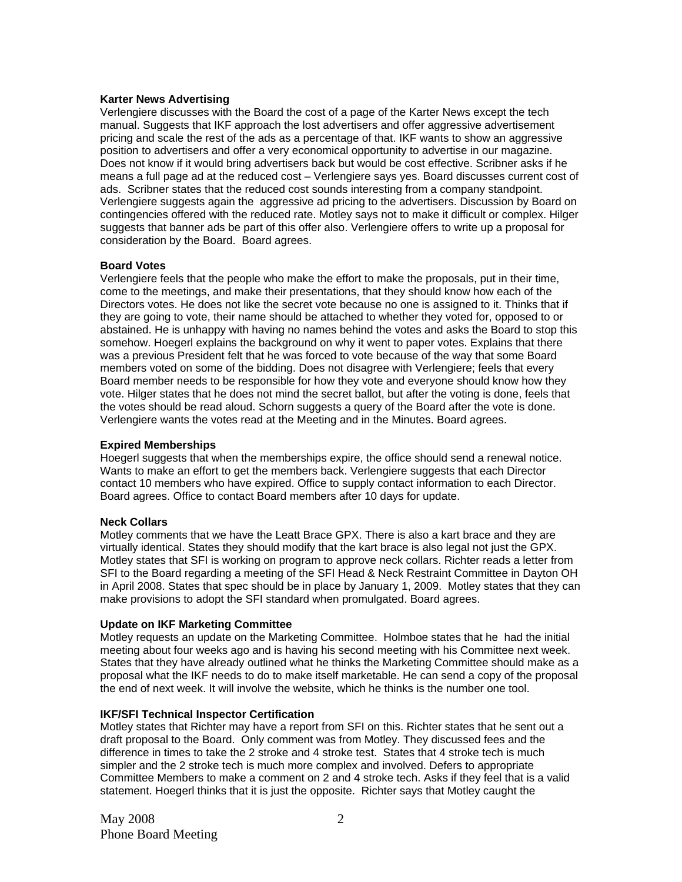#### **Karter News Advertising**

Verlengiere discusses with the Board the cost of a page of the Karter News except the tech manual. Suggests that IKF approach the lost advertisers and offer aggressive advertisement pricing and scale the rest of the ads as a percentage of that. IKF wants to show an aggressive position to advertisers and offer a very economical opportunity to advertise in our magazine. Does not know if it would bring advertisers back but would be cost effective. Scribner asks if he means a full page ad at the reduced cost – Verlengiere says yes. Board discusses current cost of ads. Scribner states that the reduced cost sounds interesting from a company standpoint. Verlengiere suggests again the aggressive ad pricing to the advertisers. Discussion by Board on contingencies offered with the reduced rate. Motley says not to make it difficult or complex. Hilger suggests that banner ads be part of this offer also. Verlengiere offers to write up a proposal for consideration by the Board. Board agrees.

# **Board Votes**

Verlengiere feels that the people who make the effort to make the proposals, put in their time, come to the meetings, and make their presentations, that they should know how each of the Directors votes. He does not like the secret vote because no one is assigned to it. Thinks that if they are going to vote, their name should be attached to whether they voted for, opposed to or abstained. He is unhappy with having no names behind the votes and asks the Board to stop this somehow. Hoegerl explains the background on why it went to paper votes. Explains that there was a previous President felt that he was forced to vote because of the way that some Board members voted on some of the bidding. Does not disagree with Verlengiere; feels that every Board member needs to be responsible for how they vote and everyone should know how they vote. Hilger states that he does not mind the secret ballot, but after the voting is done, feels that the votes should be read aloud. Schorn suggests a query of the Board after the vote is done. Verlengiere wants the votes read at the Meeting and in the Minutes. Board agrees.

# **Expired Memberships**

Hoegerl suggests that when the memberships expire, the office should send a renewal notice. Wants to make an effort to get the members back. Verlengiere suggests that each Director contact 10 members who have expired. Office to supply contact information to each Director. Board agrees. Office to contact Board members after 10 days for update.

# **Neck Collars**

Motley comments that we have the Leatt Brace GPX. There is also a kart brace and they are virtually identical. States they should modify that the kart brace is also legal not just the GPX. Motley states that SFI is working on program to approve neck collars. Richter reads a letter from SFI to the Board regarding a meeting of the SFI Head & Neck Restraint Committee in Dayton OH in April 2008. States that spec should be in place by January 1, 2009. Motley states that they can make provisions to adopt the SFI standard when promulgated. Board agrees.

# **Update on IKF Marketing Committee**

Motley requests an update on the Marketing Committee. Holmboe states that he had the initial meeting about four weeks ago and is having his second meeting with his Committee next week. States that they have already outlined what he thinks the Marketing Committee should make as a proposal what the IKF needs to do to make itself marketable. He can send a copy of the proposal the end of next week. It will involve the website, which he thinks is the number one tool.

# **IKF/SFI Technical Inspector Certification**

Motley states that Richter may have a report from SFI on this. Richter states that he sent out a draft proposal to the Board. Only comment was from Motley. They discussed fees and the difference in times to take the 2 stroke and 4 stroke test. States that 4 stroke tech is much simpler and the 2 stroke tech is much more complex and involved. Defers to appropriate Committee Members to make a comment on 2 and 4 stroke tech. Asks if they feel that is a valid statement. Hoegerl thinks that it is just the opposite. Richter says that Motley caught the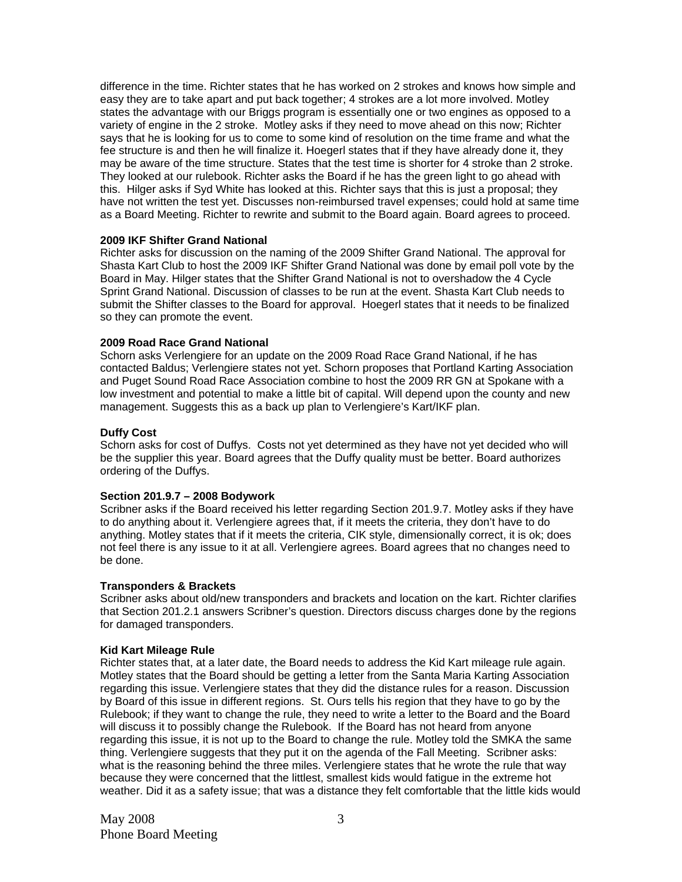difference in the time. Richter states that he has worked on 2 strokes and knows how simple and easy they are to take apart and put back together; 4 strokes are a lot more involved. Motley states the advantage with our Briggs program is essentially one or two engines as opposed to a variety of engine in the 2 stroke. Motley asks if they need to move ahead on this now; Richter says that he is looking for us to come to some kind of resolution on the time frame and what the fee structure is and then he will finalize it. Hoegerl states that if they have already done it, they may be aware of the time structure. States that the test time is shorter for 4 stroke than 2 stroke. They looked at our rulebook. Richter asks the Board if he has the green light to go ahead with this. Hilger asks if Syd White has looked at this. Richter says that this is just a proposal; they have not written the test yet. Discusses non-reimbursed travel expenses; could hold at same time as a Board Meeting. Richter to rewrite and submit to the Board again. Board agrees to proceed.

### **2009 IKF Shifter Grand National**

Richter asks for discussion on the naming of the 2009 Shifter Grand National. The approval for Shasta Kart Club to host the 2009 IKF Shifter Grand National was done by email poll vote by the Board in May. Hilger states that the Shifter Grand National is not to overshadow the 4 Cycle Sprint Grand National. Discussion of classes to be run at the event. Shasta Kart Club needs to submit the Shifter classes to the Board for approval. Hoegerl states that it needs to be finalized so they can promote the event.

### **2009 Road Race Grand National**

Schorn asks Verlengiere for an update on the 2009 Road Race Grand National, if he has contacted Baldus; Verlengiere states not yet. Schorn proposes that Portland Karting Association and Puget Sound Road Race Association combine to host the 2009 RR GN at Spokane with a low investment and potential to make a little bit of capital. Will depend upon the county and new management. Suggests this as a back up plan to Verlengiere's Kart/IKF plan.

### **Duffy Cost**

Schorn asks for cost of Duffys. Costs not yet determined as they have not yet decided who will be the supplier this year. Board agrees that the Duffy quality must be better. Board authorizes ordering of the Duffys.

# **Section 201.9.7 – 2008 Bodywork**

Scribner asks if the Board received his letter regarding Section 201.9.7. Motley asks if they have to do anything about it. Verlengiere agrees that, if it meets the criteria, they don't have to do anything. Motley states that if it meets the criteria, CIK style, dimensionally correct, it is ok; does not feel there is any issue to it at all. Verlengiere agrees. Board agrees that no changes need to be done.

#### **Transponders & Brackets**

Scribner asks about old/new transponders and brackets and location on the kart. Richter clarifies that Section 201.2.1 answers Scribner's question. Directors discuss charges done by the regions for damaged transponders.

#### **Kid Kart Mileage Rule**

Richter states that, at a later date, the Board needs to address the Kid Kart mileage rule again. Motley states that the Board should be getting a letter from the Santa Maria Karting Association regarding this issue. Verlengiere states that they did the distance rules for a reason. Discussion by Board of this issue in different regions. St. Ours tells his region that they have to go by the Rulebook; if they want to change the rule, they need to write a letter to the Board and the Board will discuss it to possibly change the Rulebook. If the Board has not heard from anyone regarding this issue, it is not up to the Board to change the rule. Motley told the SMKA the same thing. Verlengiere suggests that they put it on the agenda of the Fall Meeting. Scribner asks: what is the reasoning behind the three miles. Verlengiere states that he wrote the rule that way because they were concerned that the littlest, smallest kids would fatigue in the extreme hot weather. Did it as a safety issue; that was a distance they felt comfortable that the little kids would